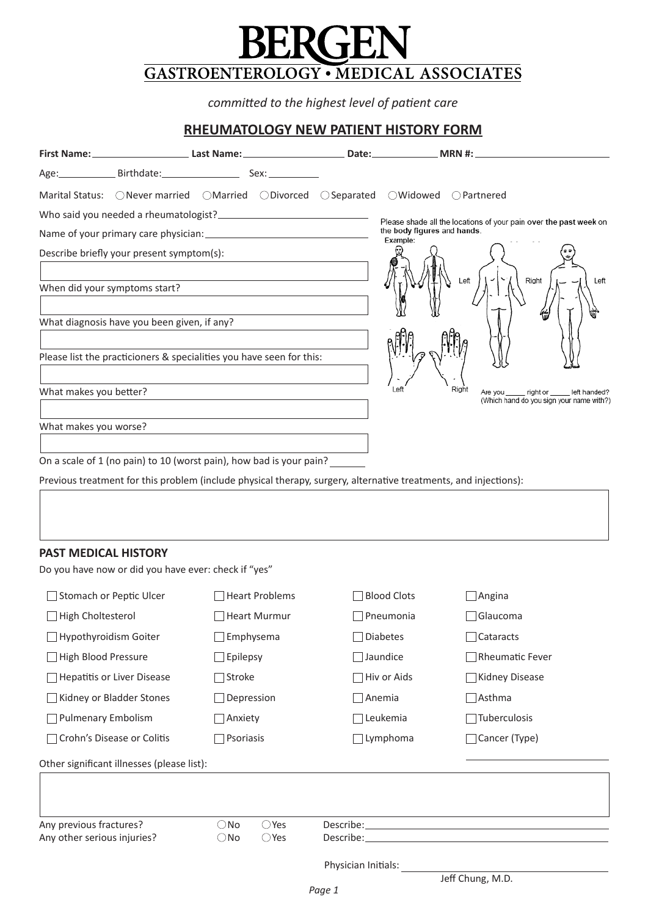# $BERGEN$ **Associates Medical Bergen .** <u>part</u>

07630 Jersey New ,Emerson 1, Suite ,Road Hook Old 466 07652 Jersey New ,Paramus 301, Suite ,Avenue Ridgewood West 1 *care patient of level highest the to committed*

# **RHEUMATOLOGY NEW PATIENT HISTORY FORM**

|                                                      | Age: Birthdate: Sex: Sex:                                                                                        |                     |                                         |                                                                                                                                                                                                                                      |
|------------------------------------------------------|------------------------------------------------------------------------------------------------------------------|---------------------|-----------------------------------------|--------------------------------------------------------------------------------------------------------------------------------------------------------------------------------------------------------------------------------------|
|                                                      | Marital Status: ONever married OMarried ODivorced OSeparated OWidowed OPartnered                                 |                     |                                         |                                                                                                                                                                                                                                      |
|                                                      |                                                                                                                  |                     |                                         | Please shade all the locations of your pain over the past week on                                                                                                                                                                    |
|                                                      |                                                                                                                  |                     | the body figures and hands.<br>Example: |                                                                                                                                                                                                                                      |
| Describe briefly your present symptom(s):            |                                                                                                                  |                     |                                         |                                                                                                                                                                                                                                      |
| When did your symptoms start?                        |                                                                                                                  |                     |                                         | Right<br>Left<br>Left                                                                                                                                                                                                                |
| What diagnosis have you been given, if any?          |                                                                                                                  |                     |                                         |                                                                                                                                                                                                                                      |
|                                                      | Please list the practicioners & specialities you have seen for this:                                             |                     |                                         |                                                                                                                                                                                                                                      |
| What makes you better?                               |                                                                                                                  |                     | Left                                    | Right<br>Are you right or left handed?<br>(Which hand do you sign your name with?)                                                                                                                                                   |
|                                                      |                                                                                                                  |                     |                                         |                                                                                                                                                                                                                                      |
| What makes you worse?                                |                                                                                                                  |                     |                                         |                                                                                                                                                                                                                                      |
|                                                      | On a scale of 1 (no pain) to 10 (worst pain), how bad is your pain?                                              |                     |                                         |                                                                                                                                                                                                                                      |
|                                                      | Previous treatment for this problem (include physical therapy, surgery, alternative treatments, and injections): |                     |                                         |                                                                                                                                                                                                                                      |
|                                                      |                                                                                                                  |                     |                                         |                                                                                                                                                                                                                                      |
|                                                      |                                                                                                                  |                     |                                         |                                                                                                                                                                                                                                      |
| <b>PAST MEDICAL HISTORY</b>                          |                                                                                                                  |                     |                                         |                                                                                                                                                                                                                                      |
| Do you have now or did you have ever: check if "yes" |                                                                                                                  |                     |                                         |                                                                                                                                                                                                                                      |
| Stomach or Peptic Ulcer                              | Heart Problems                                                                                                   |                     | <b>Blood Clots</b>                      | $\Box$ Angina                                                                                                                                                                                                                        |
| High Choltesterol                                    | Heart Murmur                                                                                                     |                     | Pneumonia                               | Glaucoma                                                                                                                                                                                                                             |
| Hypothyroidism Goiter                                | Emphysema                                                                                                        |                     | <b>Diabetes</b>                         | Cataracts                                                                                                                                                                                                                            |
| High Blood Pressure                                  | Epilepsy                                                                                                         |                     | Jaundice                                | Rheumatic Fever                                                                                                                                                                                                                      |
| <b>Hepatitis or Liver Disease</b>                    | Stroke                                                                                                           |                     | Hiv or Aids                             | Kidney Disease                                                                                                                                                                                                                       |
| Kidney or Bladder Stones                             | Depression                                                                                                       |                     | Anemia                                  | $\exists$ Asthma                                                                                                                                                                                                                     |
| <b>Pulmenary Embolism</b>                            | Anxiety                                                                                                          |                     | Leukemia                                | Tuberculosis                                                                                                                                                                                                                         |
| Crohn's Disease or Colitis                           | Psoriasis                                                                                                        |                     | Lymphoma                                | Cancer (Type)                                                                                                                                                                                                                        |
| Other significant illnesses (please list):           |                                                                                                                  |                     |                                         |                                                                                                                                                                                                                                      |
|                                                      |                                                                                                                  |                     |                                         |                                                                                                                                                                                                                                      |
| Any previous fractures?                              | $\bigcirc$ Yes<br>$\bigcirc$ No                                                                                  |                     |                                         |                                                                                                                                                                                                                                      |
| Any other serious injuries?                          | $\bigcirc$ Yes<br>$\bigcirc$ No                                                                                  |                     |                                         | Describe: <u>Describe: Exploration of the second second second second second second second second second second second second second second second second second second second second second second second second second second </u> |
|                                                      |                                                                                                                  | Physician Initials: |                                         | Jeff Chung, M.D.                                                                                                                                                                                                                     |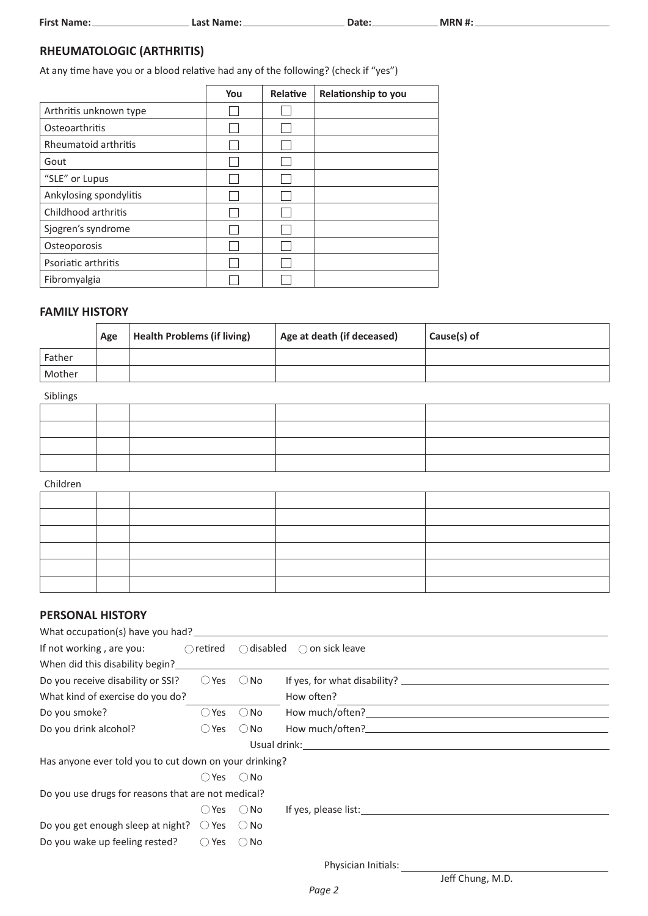| <b>First Name:</b> |  |
|--------------------|--|
|                    |  |

**#: MRN :Date :Name Last :Name First**

## **(ARTHRITIS (RHEUMATOLOGIC**

At any time have you or a blood relative had any of the following? (check if "yes")

|                        | You | Relative | Relationship to you |
|------------------------|-----|----------|---------------------|
| Arthritis unknown type |     |          |                     |
| Osteoarthritis         |     |          |                     |
| Rheumatoid arthritis   |     |          |                     |
| Gout                   |     |          |                     |
| "SLE" or Lupus         |     |          |                     |
| Ankylosing spondylitis |     |          |                     |
| Childhood arthritis    |     |          |                     |
| Sjogren's syndrome     |     |          |                     |
| Osteoporosis           |     |          |                     |
| Psoriatic arthritis    |     |          |                     |
| Fibromyalgia           |     |          |                     |

### **FAMILY HISTORY**

|        | Age | <b>Health Problems (if living)</b> | Age at death (if deceased) | Cause(s) of |
|--------|-----|------------------------------------|----------------------------|-------------|
| Father |     |                                    |                            |             |
| Mother |     |                                    |                            |             |

#### Siblings

### Children

#### **PERSONAL HISTORY**

| If not working, are you:                                       |                              |               | $\bigcirc$ retired $\bigcirc$ disabled $\bigcirc$ on sick leave |
|----------------------------------------------------------------|------------------------------|---------------|-----------------------------------------------------------------|
| When did this disability begin?                                |                              |               |                                                                 |
| Do you receive disability or SSI?                              | $\bigcirc$ Yes               | $\bigcirc$ No |                                                                 |
| What kind of exercise do you do?                               |                              |               | How often?                                                      |
| Do you smoke?                                                  | $\bigcirc$ Yes               | $\bigcirc$ No |                                                                 |
| Do you drink alcohol?                                          | $O$ Yes $O$ No               |               |                                                                 |
|                                                                |                              |               |                                                                 |
| Has anyone ever told you to cut down on your drinking?         |                              |               |                                                                 |
|                                                                | $O$ Yes $O$ No               |               |                                                                 |
| Do you use drugs for reasons that are not medical?             |                              |               |                                                                 |
|                                                                | $\bigcirc$ Yes $\bigcirc$ No |               |                                                                 |
| Do you get enough sleep at night? $\bigcirc$ Yes $\bigcirc$ No |                              |               |                                                                 |
| Do you wake up feeling rested?                                 | $\bigcirc$ Yes               | ∴ No          |                                                                 |

Physician Initials:

Jeff Chung, M.D.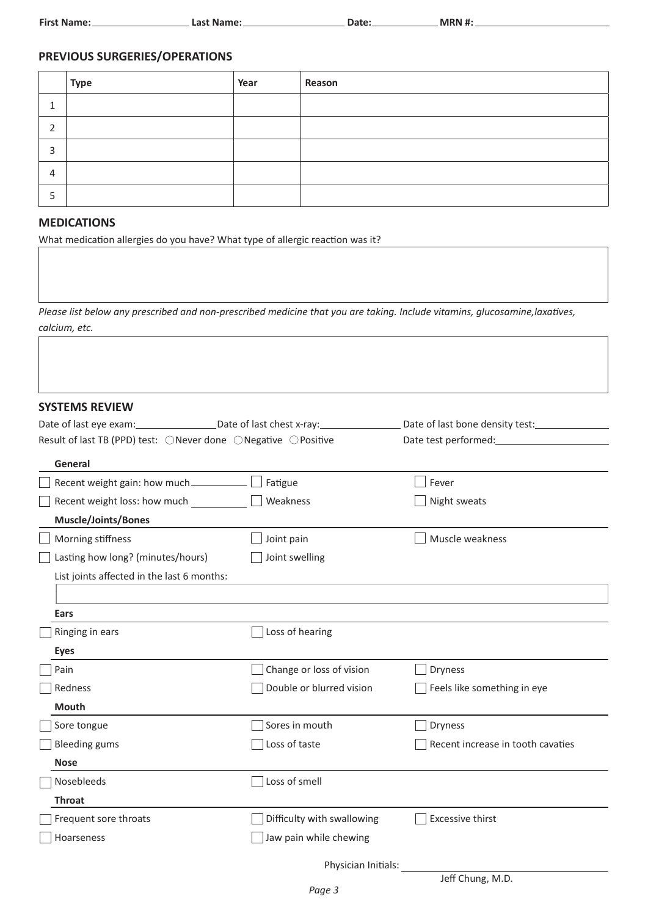| <b>First Name:</b> | .ast   | י ה+הר |            |
|--------------------|--------|--------|------------|
|                    | :Name: | - 145  | <b>MRN</b> |
|                    |        |        |            |

## **PREVIOUS SURGERIES/OPERATIONS**

|        | <b>Type</b> | Year | Reason |
|--------|-------------|------|--------|
|        |             |      |        |
| ╮<br>▵ |             |      |        |
| 3      |             |      |        |
| 4      |             |      |        |
| כ      |             |      |        |

### **MEDICATIONS**

What medication allergies do you have? What type of allergic reaction was it?

Please list below any prescribed and non-prescribed medicine that you are taking. Include vitamins, glucosamine, laxatives, calcium, etc.

#### **SYSTEMS REVIEW**

| Date of last eye exam: Date of last chest x-ray:              |                            | Date of last bone density test:   |
|---------------------------------------------------------------|----------------------------|-----------------------------------|
| Result of last TB (PPD) test: ONever done ONegative OPositive |                            |                                   |
| General                                                       |                            |                                   |
| Recent weight gain: how much                                  | Fatigue                    | Fever                             |
| Recent weight loss: how much                                  | Weakness                   | Night sweats                      |
| <b>Muscle/Joints/Bones</b>                                    |                            |                                   |
| Morning stiffness                                             | Joint pain                 | Muscle weakness                   |
| Lasting how long? (minutes/hours)                             | Joint swelling             |                                   |
| List joints affected in the last 6 months:                    |                            |                                   |
|                                                               |                            |                                   |
| Ears                                                          |                            |                                   |
| Ringing in ears                                               | Loss of hearing            |                                   |
| <b>Eyes</b>                                                   |                            |                                   |
| Pain                                                          | Change or loss of vision   | <b>Dryness</b>                    |
| Redness                                                       | Double or blurred vision   | Feels like something in eye       |
| <b>Mouth</b>                                                  |                            |                                   |
| Sore tongue                                                   | Sores in mouth             | <b>Dryness</b>                    |
| <b>Bleeding gums</b>                                          | Loss of taste              | Recent increase in tooth cavaties |
| <b>Nose</b>                                                   |                            |                                   |
| Nosebleeds                                                    | Loss of smell              |                                   |
| <b>Throat</b>                                                 |                            |                                   |
| Frequent sore throats                                         | Difficulty with swallowing | <b>Excessive thirst</b>           |
| Hoarseness                                                    | Jaw pain while chewing     |                                   |
|                                                               | Physician Initials:        |                                   |
|                                                               |                            | Jeff Chung, M.D.                  |